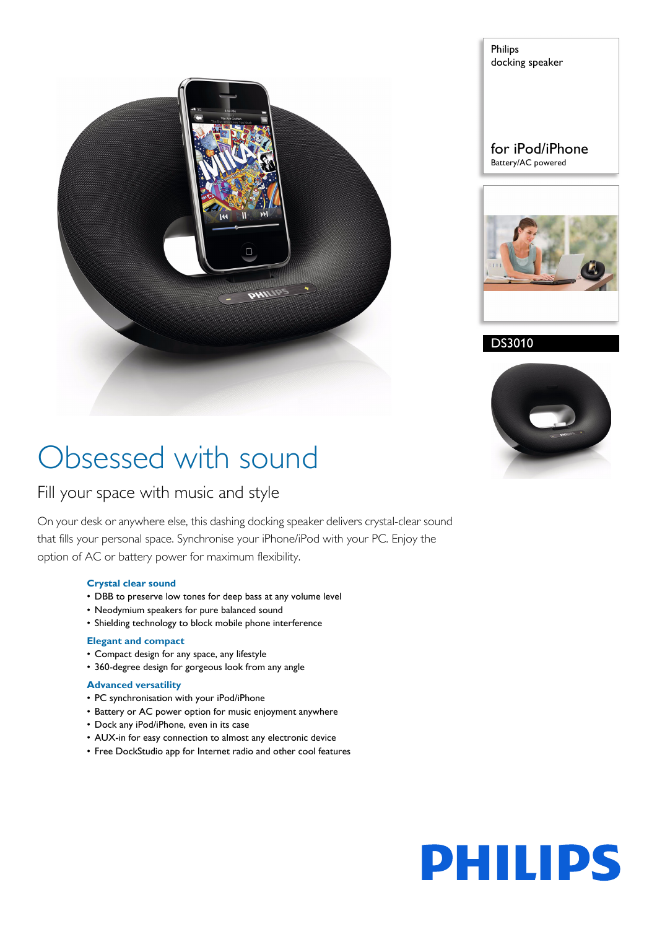

Philips docking speaker

### for iPod/iPhone Battery/AC powered



DS3010



# Obsessed with sound

### Fill your space with music and style

On your desk or anywhere else, this dashing docking speaker delivers crystal-clear sound that fills your personal space. Synchronise your iPhone/iPod with your PC. Enjoy the option of AC or battery power for maximum flexibility.

### **Crystal clear sound**

- DBB to preserve low tones for deep bass at any volume level
- Neodymium speakers for pure balanced sound
- Shielding technology to block mobile phone interference

#### **Elegant and compact**

- Compact design for any space, any lifestyle
- 360-degree design for gorgeous look from any angle

#### **Advanced versatility**

- PC synchronisation with your iPod/iPhone
- Battery or AC power option for music enjoyment anywhere
- Dock any iPod/iPhone, even in its case
- AUX-in for easy connection to almost any electronic device
- Free DockStudio app for Internet radio and other cool features